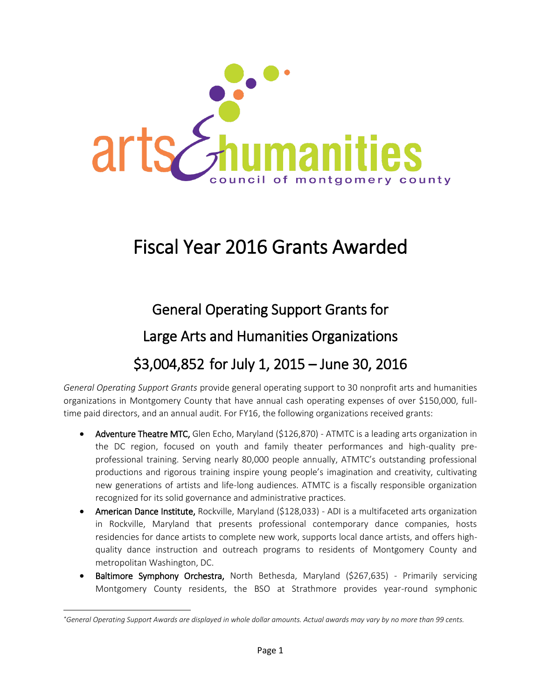

## Fiscal Year 2016 Grants Awarded

# General Operating Support Grants for Large Arts and Humanities Organizations \$3,004,852 for July 1, 2015 – June 30, 2016

*General Operating Support Grants* provide general operating support to 30 nonprofit arts and humanities organizations in Montgomery County that have annual cash operating expenses of over \$150,000, fulltime paid directors, and an annual audit. For FY16, the following organizations received grants:

- Adventure Theatre MTC, Glen Echo, Maryland (\$126,870) ATMTC is a leading arts organization in the DC region, focused on youth and family theater performances and high-quality preprofessional training. Serving nearly 80,000 people annually, ATMTC's outstanding professional productions and rigorous training inspire young people's imagination and creativity, cultivating new generations of artists and life-long audiences. ATMTC is a fiscally responsible organization recognized for its solid governance and administrative practices.
- American Dance Institute, Rockville, Maryland (\$128,033) ADI is a multifaceted arts organization in Rockville, Maryland that presents professional contemporary dance companies, hosts residencies for dance artists to complete new work, supports local dance artists, and offers highquality dance instruction and outreach programs to residents of Montgomery County and metropolitan Washington, DC.
- Baltimore Symphony Orchestra, North Bethesda, Maryland (\$267,635) Primarily servicing Montgomery County residents, the BSO at Strathmore provides year-round symphonic

l

*<sup>\*</sup>General Operating Support Awards are displayed in whole dollar amounts. Actual awards may vary by no more than 99 cents.*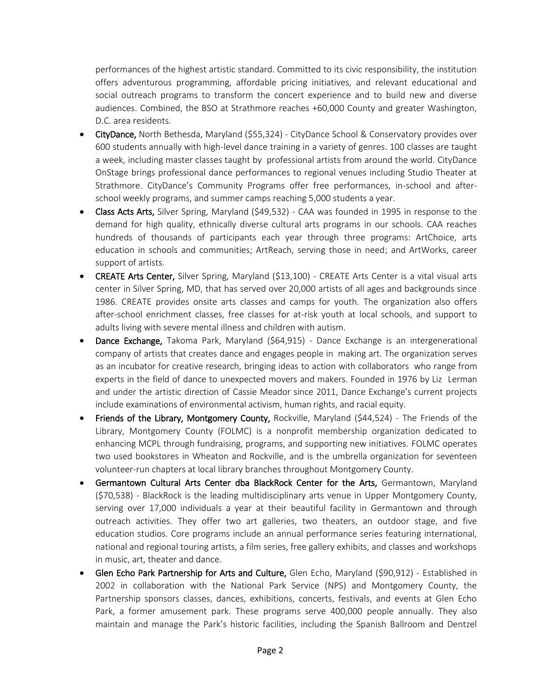performances of the highest artistic standard. Committed to its civic responsibility, the institution offers adventurous programming, affordable pricing initiatives, and relevant educational and social outreach programs to transform the concert experience and to build new and diverse audiences. Combined, the BSO at Strathmore reaches +60,000 County and greater Washington, D.C. area residents.

- CityDance, North Bethesda, Maryland (\$55,324) CityDance School & Conservatory provides over 600 students annually with high-level dance training in a variety of genres. 100 classes are taught a week, including master classes taught by professional artists from around the world. CityDance OnStage brings professional dance performances to regional venues including Studio Theater at Strathmore. CityDance's Community Programs offer free performances, in-school and afterschool weekly programs, and summer camps reaching 5,000 students a year.
- Class Acts Arts, Silver Spring, Maryland (\$49,532) CAA was founded in 1995 in response to the demand for high quality, ethnically diverse cultural arts programs in our schools. CAA reaches hundreds of thousands of participants each year through three programs: ArtChoice, arts education in schools and communities; ArtReach, serving those in need; and ArtWorks, career support of artists.
- CREATE Arts Center, Silver Spring, Maryland (\$13,100) CREATE Arts Center is a vital visual arts center in Silver Spring, MD, that has served over 20,000 artists of all ages and backgrounds since 1986. CREATE provides onsite arts classes and camps for youth. The organization also offers after-school enrichment classes, free classes for at-risk youth at local schools, and support to adults living with severe mental illness and children with autism.
- Dance Exchange, Takoma Park, Maryland (\$64,915) Dance Exchange is an intergenerational company of artists that creates dance and engages people in making art. The organization serves as an incubator for creative research, bringing ideas to action with collaborators who range from experts in the field of dance to unexpected movers and makers. Founded in 1976 by Liz Lerman and under the artistic direction of Cassie Meador since 2011, Dance Exchange's current projects include examinations of environmental activism, human rights, and racial equity.
- Friends of the Library, Montgomery County, Rockville, Maryland (\$44,524) The Friends of the Library, Montgomery County (FOLMC) is a nonprofit membership organization dedicated to enhancing MCPL through fundraising, programs, and supporting new initiatives. FOLMC operates two used bookstores in Wheaton and Rockville, and is the umbrella organization for seventeen volunteer-run chapters at local library branches throughout Montgomery County.
- Germantown Cultural Arts Center dba BlackRock Center for the Arts, Germantown, Maryland (\$70,538) - BlackRock is the leading multidisciplinary arts venue in Upper Montgomery County, serving over 17,000 individuals a year at their beautiful facility in Germantown and through outreach activities. They offer two art galleries, two theaters, an outdoor stage, and five education studios. Core programs include an annual performance series featuring international, national and regional touring artists, a film series, free gallery exhibits, and classes and workshops in music, art, theater and dance.
- Glen Echo Park Partnership for Arts and Culture, Glen Echo, Maryland (\$90,912) Established in 2002 in collaboration with the National Park Service (NPS) and Montgomery County, the Partnership sponsors classes, dances, exhibitions, concerts, festivals, and events at Glen Echo Park, a former amusement park. These programs serve 400,000 people annually. They also maintain and manage the Park's historic facilities, including the Spanish Ballroom and Dentzel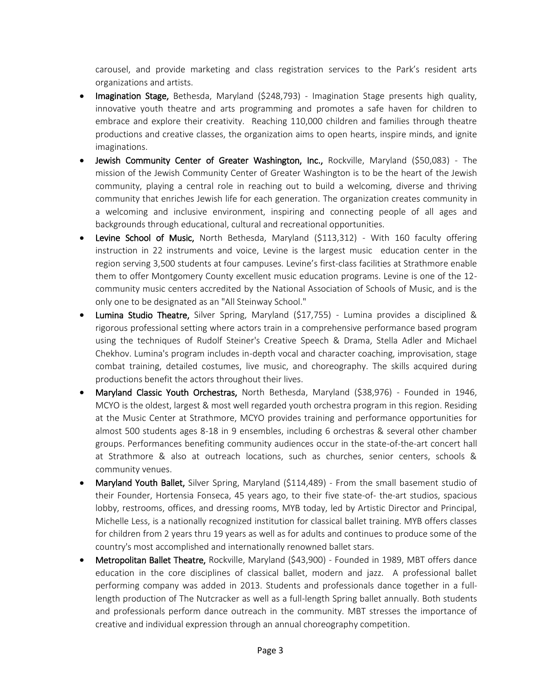carousel, and provide marketing and class registration services to the Park's resident arts organizations and artists.

- Imagination Stage, Bethesda, Maryland (\$248,793) Imagination Stage presents high quality, innovative youth theatre and arts programming and promotes a safe haven for children to embrace and explore their creativity. Reaching 110,000 children and families through theatre productions and creative classes, the organization aims to open hearts, inspire minds, and ignite imaginations.
- Jewish Community Center of Greater Washington, Inc., Rockville, Maryland (\$50,083) The mission of the Jewish Community Center of Greater Washington is to be the heart of the Jewish community, playing a central role in reaching out to build a welcoming, diverse and thriving community that enriches Jewish life for each generation. The organization creates community in a welcoming and inclusive environment, inspiring and connecting people of all ages and backgrounds through educational, cultural and recreational opportunities.
- Levine School of Music, North Bethesda, Maryland (\$113,312) With 160 faculty offering instruction in 22 instruments and voice, Levine is the largest music education center in the region serving 3,500 students at four campuses. Levine's first-class facilities at Strathmore enable them to offer Montgomery County excellent music education programs. Levine is one of the 12 community music centers accredited by the National Association of Schools of Music, and is the only one to be designated as an "All Steinway School."
- Lumina Studio Theatre, Silver Spring, Maryland (\$17,755) Lumina provides a disciplined & rigorous professional setting where actors train in a comprehensive performance based program using the techniques of Rudolf Steiner's Creative Speech & Drama, Stella Adler and Michael Chekhov. Lumina's program includes in-depth vocal and character coaching, improvisation, stage combat training, detailed costumes, live music, and choreography. The skills acquired during productions benefit the actors throughout their lives.
- Maryland Classic Youth Orchestras, North Bethesda, Maryland (\$38,976) Founded in 1946, MCYO is the oldest, largest & most well regarded youth orchestra program in this region. Residing at the Music Center at Strathmore, MCYO provides training and performance opportunities for almost 500 students ages 8-18 in 9 ensembles, including 6 orchestras & several other chamber groups. Performances benefiting community audiences occur in the state-of-the-art concert hall at Strathmore & also at outreach locations, such as churches, senior centers, schools & community venues.
- Maryland Youth Ballet, Silver Spring, Maryland (\$114,489) From the small basement studio of their Founder, Hortensia Fonseca, 45 years ago, to their five state-of- the-art studios, spacious lobby, restrooms, offices, and dressing rooms, MYB today, led by Artistic Director and Principal, Michelle Less, is a nationally recognized institution for classical ballet training. MYB offers classes for children from 2 years thru 19 years as well as for adults and continues to produce some of the country's most accomplished and internationally renowned ballet stars.
- Metropolitan Ballet Theatre, Rockville, Maryland (\$43,900) Founded in 1989, MBT offers dance education in the core disciplines of classical ballet, modern and jazz. A professional ballet performing company was added in 2013. Students and professionals dance together in a fulllength production of The Nutcracker as well as a full-length Spring ballet annually. Both students and professionals perform dance outreach in the community. MBT stresses the importance of creative and individual expression through an annual choreography competition.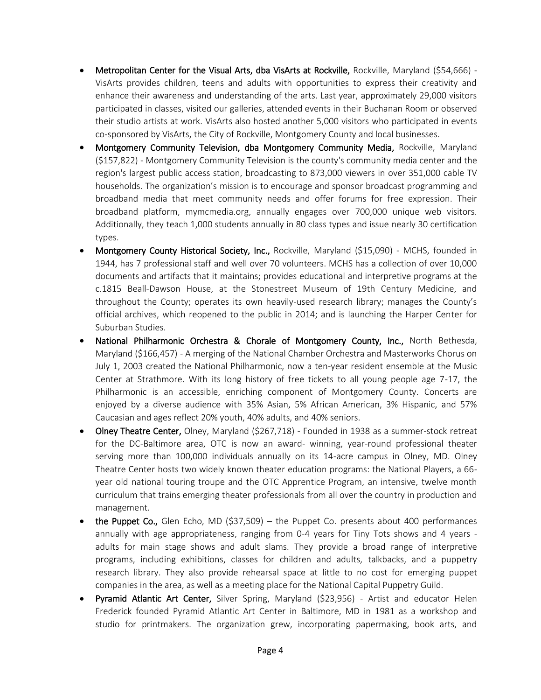- Metropolitan Center for the Visual Arts, dba VisArts at Rockville, Rockville, Maryland (\$54,666) -VisArts provides children, teens and adults with opportunities to express their creativity and enhance their awareness and understanding of the arts. Last year, approximately 29,000 visitors participated in classes, visited our galleries, attended events in their Buchanan Room or observed their studio artists at work. VisArts also hosted another 5,000 visitors who participated in events co-sponsored by VisArts, the City of Rockville, Montgomery County and local businesses.
- Montgomery Community Television, dba Montgomery Community Media, Rockville, Maryland (\$157,822) - Montgomery Community Television is the county's community media center and the region's largest public access station, broadcasting to 873,000 viewers in over 351,000 cable TV households. The organization's mission is to encourage and sponsor broadcast programming and broadband media that meet community needs and offer forums for free expression. Their broadband platform, mymcmedia.org, annually engages over 700,000 unique web visitors. Additionally, they teach 1,000 students annually in 80 class types and issue nearly 30 certification types.
- Montgomery County Historical Society, Inc., Rockville, Maryland (\$15,090) MCHS, founded in 1944, has 7 professional staff and well over 70 volunteers. MCHS has a collection of over 10,000 documents and artifacts that it maintains; provides educational and interpretive programs at the c.1815 Beall-Dawson House, at the Stonestreet Museum of 19th Century Medicine, and throughout the County; operates its own heavily-used research library; manages the County's official archives, which reopened to the public in 2014; and is launching the Harper Center for Suburban Studies.
- National Philharmonic Orchestra & Chorale of Montgomery County, Inc., North Bethesda, Maryland (\$166,457) - A merging of the National Chamber Orchestra and Masterworks Chorus on July 1, 2003 created the National Philharmonic, now a ten-year resident ensemble at the Music Center at Strathmore. With its long history of free tickets to all young people age 7-17, the Philharmonic is an accessible, enriching component of Montgomery County. Concerts are enjoyed by a diverse audience with 35% Asian, 5% African American, 3% Hispanic, and 57% Caucasian and ages reflect 20% youth, 40% adults, and 40% seniors.
- Olney Theatre Center, Olney, Maryland (\$267,718) Founded in 1938 as a summer-stock retreat for the DC-Baltimore area, OTC is now an award- winning, year-round professional theater serving more than 100,000 individuals annually on its 14-acre campus in Olney, MD. Olney Theatre Center hosts two widely known theater education programs: the National Players, a 66 year old national touring troupe and the OTC Apprentice Program, an intensive, twelve month curriculum that trains emerging theater professionals from all over the country in production and management.
- the Puppet Co., Glen Echo, MD (\$37,509) the Puppet Co. presents about 400 performances annually with age appropriateness, ranging from 0-4 years for Tiny Tots shows and 4 years adults for main stage shows and adult slams. They provide a broad range of interpretive programs, including exhibitions, classes for children and adults, talkbacks, and a puppetry research library. They also provide rehearsal space at little to no cost for emerging puppet companies in the area, as well as a meeting place for the National Capital Puppetry Guild.
- Pyramid Atlantic Art Center, Silver Spring, Maryland (\$23,956) Artist and educator Helen Frederick founded Pyramid Atlantic Art Center in Baltimore, MD in 1981 as a workshop and studio for printmakers. The organization grew, incorporating papermaking, book arts, and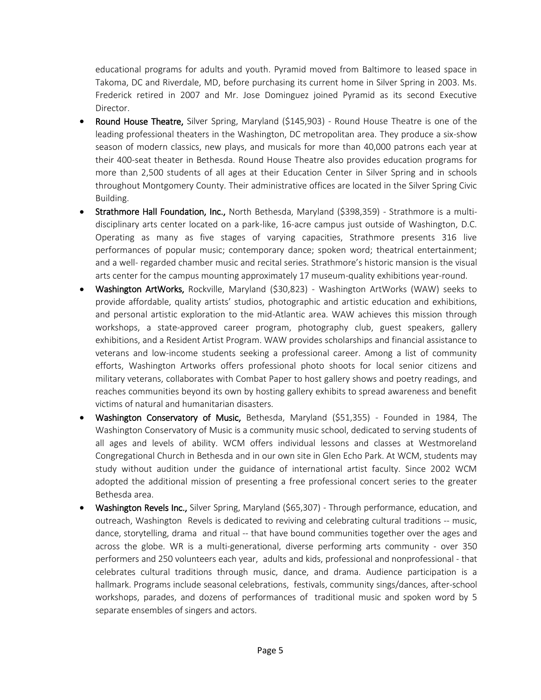educational programs for adults and youth. Pyramid moved from Baltimore to leased space in Takoma, DC and Riverdale, MD, before purchasing its current home in Silver Spring in 2003. Ms. Frederick retired in 2007 and Mr. Jose Dominguez joined Pyramid as its second Executive Director.

- Round House Theatre, Silver Spring, Maryland (\$145,903) Round House Theatre is one of the leading professional theaters in the Washington, DC metropolitan area. They produce a six-show season of modern classics, new plays, and musicals for more than 40,000 patrons each year at their 400-seat theater in Bethesda. Round House Theatre also provides education programs for more than 2,500 students of all ages at their Education Center in Silver Spring and in schools throughout Montgomery County. Their administrative offices are located in the Silver Spring Civic Building.
- Strathmore Hall Foundation, Inc., North Bethesda, Maryland (\$398,359) Strathmore is a multidisciplinary arts center located on a park-like, 16-acre campus just outside of Washington, D.C. Operating as many as five stages of varying capacities, Strathmore presents 316 live performances of popular music; contemporary dance; spoken word; theatrical entertainment; and a well- regarded chamber music and recital series. Strathmore's historic mansion is the visual arts center for the campus mounting approximately 17 museum-quality exhibitions year-round.
- Washington ArtWorks, Rockville, Maryland (\$30,823) Washington ArtWorks (WAW) seeks to provide affordable, quality artists' studios, photographic and artistic education and exhibitions, and personal artistic exploration to the mid-Atlantic area. WAW achieves this mission through workshops, a state-approved career program, photography club, guest speakers, gallery exhibitions, and a Resident Artist Program. WAW provides scholarships and financial assistance to veterans and low-income students seeking a professional career. Among a list of community efforts, Washington Artworks offers professional photo shoots for local senior citizens and military veterans, collaborates with Combat Paper to host gallery shows and poetry readings, and reaches communities beyond its own by hosting gallery exhibits to spread awareness and benefit victims of natural and humanitarian disasters.
- Washington Conservatory of Music, Bethesda, Maryland (\$51,355) Founded in 1984, The Washington Conservatory of Music is a community music school, dedicated to serving students of all ages and levels of ability. WCM offers individual lessons and classes at Westmoreland Congregational Church in Bethesda and in our own site in Glen Echo Park. At WCM, students may study without audition under the guidance of international artist faculty. Since 2002 WCM adopted the additional mission of presenting a free professional concert series to the greater Bethesda area.
- Washington Revels Inc., Silver Spring, Maryland (\$65,307) Through performance, education, and outreach, Washington Revels is dedicated to reviving and celebrating cultural traditions -- music, dance, storytelling, drama and ritual -- that have bound communities together over the ages and across the globe. WR is a multi-generational, diverse performing arts community - over 350 performers and 250 volunteers each year, adults and kids, professional and nonprofessional - that celebrates cultural traditions through music, dance, and drama. Audience participation is a hallmark. Programs include seasonal celebrations, festivals, community sings/dances, after-school workshops, parades, and dozens of performances of traditional music and spoken word by 5 separate ensembles of singers and actors.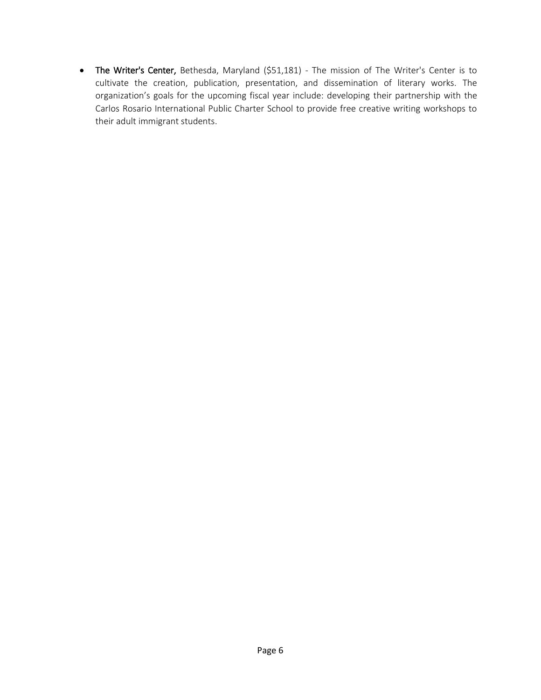• The Writer's Center, Bethesda, Maryland (\$51,181) - The mission of The Writer's Center is to cultivate the creation, publication, presentation, and dissemination of literary works. The organization's goals for the upcoming fiscal year include: developing their partnership with the Carlos Rosario International Public Charter School to provide free creative writing workshops to their adult immigrant students.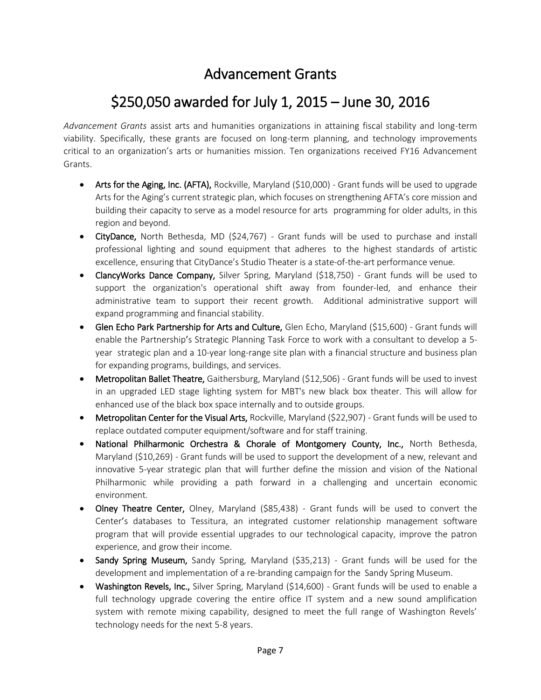#### Advancement Grants

## \$250,050 awarded for July 1, 2015 – June 30, 2016

*Advancement Grants* assist arts and humanities organizations in attaining fiscal stability and long-term viability. Specifically, these grants are focused on long-term planning, and technology improvements critical to an organization's arts or humanities mission. Ten organizations received FY16 Advancement Grants.

- Arts for the Aging, Inc. (AFTA), Rockville, Maryland (\$10,000) Grant funds will be used to upgrade Arts for the Aging's current strategic plan, which focuses on strengthening AFTA's core mission and building their capacity to serve as a model resource for arts programming for older adults, in this region and beyond.
- CityDance, North Bethesda, MD (\$24,767) Grant funds will be used to purchase and install professional lighting and sound equipment that adheres to the highest standards of artistic excellence, ensuring that CityDance's Studio Theater is a state-of-the-art performance venue.
- ClancyWorks Dance Company, Silver Spring, Maryland (\$18,750) Grant funds will be used to support the organization's operational shift away from founder-led, and enhance their administrative team to support their recent growth. Additional administrative support will expand programming and financial stability.
- Glen Echo Park Partnership for Arts and Culture, Glen Echo, Maryland (\$15,600) Grant funds will enable the Partnership's Strategic Planning Task Force to work with a consultant to develop a 5 year strategic plan and a 10-year long-range site plan with a financial structure and business plan for expanding programs, buildings, and services.
- Metropolitan Ballet Theatre, Gaithersburg, Maryland (\$12,506) Grant funds will be used to invest in an upgraded LED stage lighting system for MBT's new black box theater. This will allow for enhanced use of the black box space internally and to outside groups.
- Metropolitan Center for the Visual Arts, Rockville, Maryland (\$22,907) Grant funds will be used to replace outdated computer equipment/software and for staff training.
- National Philharmonic Orchestra & Chorale of Montgomery County, Inc., North Bethesda, Maryland (\$10,269) - Grant funds will be used to support the development of a new, relevant and innovative 5-year strategic plan that will further define the mission and vision of the National Philharmonic while providing a path forward in a challenging and uncertain economic environment.
- Olney Theatre Center, Olney, Maryland (\$85,438) Grant funds will be used to convert the Center's databases to Tessitura, an integrated customer relationship management software program that will provide essential upgrades to our technological capacity, improve the patron experience, and grow their income.
- Sandy Spring Museum, Sandy Spring, Maryland (\$35,213) Grant funds will be used for the development and implementation of a re-branding campaign for the Sandy Spring Museum.
- Washington Revels, Inc., Silver Spring, Maryland (\$14,600) Grant funds will be used to enable a full technology upgrade covering the entire office IT system and a new sound amplification system with remote mixing capability, designed to meet the full range of Washington Revels' technology needs for the next 5-8 years.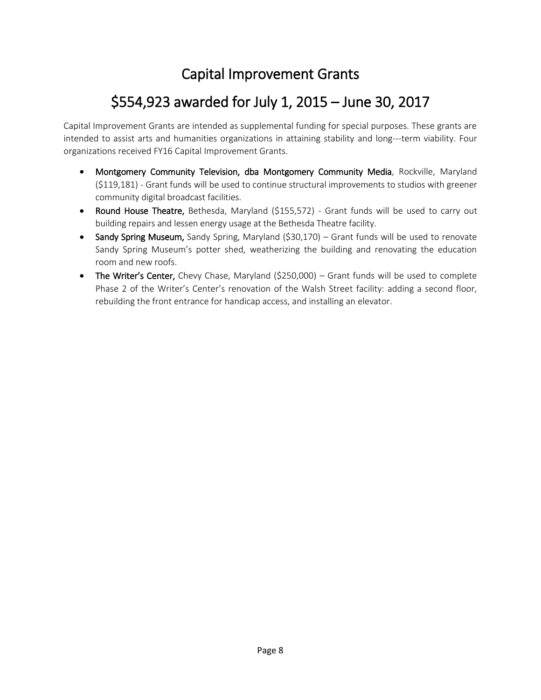## Capital Improvement Grants

## \$554,923 awarded for July 1, 2015 – June 30, 2017

Capital Improvement Grants are intended as supplemental funding for special purposes. These grants are intended to assist arts and humanities organizations in attaining stability and long--‐term viability. Four organizations received FY16 Capital Improvement Grants.

- Montgomery Community Television, dba Montgomery Community Media, Rockville, Maryland (\$119,181) - Grant funds will be used to continue structural improvements to studios with greener community digital broadcast facilities.
- Round House Theatre, Bethesda, Maryland (\$155,572) Grant funds will be used to carry out building repairs and lessen energy usage at the Bethesda Theatre facility.
- Sandy Spring Museum, Sandy Spring, Maryland (\$30,170) Grant funds will be used to renovate Sandy Spring Museum's potter shed, weatherizing the building and renovating the education room and new roofs.
- The Writer's Center, Chevy Chase, Maryland (\$250,000) Grant funds will be used to complete Phase 2 of the Writer's Center's renovation of the Walsh Street facility: adding a second floor, rebuilding the front entrance for handicap access, and installing an elevator.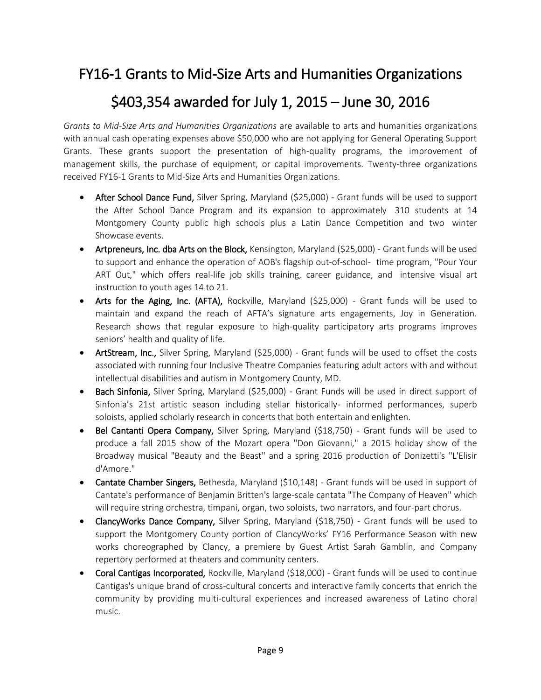#### FY16-1 Grants to Mid-Size Arts and Humanities Organizations

#### \$403,354 awarded for July 1, 2015 – June 30, 2016

*Grants to Mid-Size Arts and Humanities Organizations* are available to arts and humanities organizations with annual cash operating expenses above \$50,000 who are not applying for General Operating Support Grants. These grants support the presentation of high-quality programs, the improvement of management skills, the purchase of equipment, or capital improvements. Twenty-three organizations received FY16-1 Grants to Mid-Size Arts and Humanities Organizations.

- After School Dance Fund, Silver Spring, Maryland (\$25,000) Grant funds will be used to support the After School Dance Program and its expansion to approximately 310 students at 14 Montgomery County public high schools plus a Latin Dance Competition and two winter Showcase events.
- Artpreneurs, Inc. dba Arts on the Block, Kensington, Maryland (\$25,000) Grant funds will be used to support and enhance the operation of AOB's flagship out-of-school- time program, "Pour Your ART Out," which offers real-life job skills training, career guidance, and intensive visual art instruction to youth ages 14 to 21.
- Arts for the Aging, Inc. (AFTA), Rockville, Maryland (\$25,000) Grant funds will be used to maintain and expand the reach of AFTA's signature arts engagements, Joy in Generation. Research shows that regular exposure to high-quality participatory arts programs improves seniors' health and quality of life.
- ArtStream, Inc., Silver Spring, Maryland (\$25,000) Grant funds will be used to offset the costs associated with running four Inclusive Theatre Companies featuring adult actors with and without intellectual disabilities and autism in Montgomery County, MD.
- Bach Sinfonia, Silver Spring, Maryland (\$25,000) Grant Funds will be used in direct support of Sinfonia's 21st artistic season including stellar historically- informed performances, superb soloists, applied scholarly research in concerts that both entertain and enlighten.
- Bel Cantanti Opera Company, Silver Spring, Maryland (\$18,750) Grant funds will be used to produce a fall 2015 show of the Mozart opera "Don Giovanni," a 2015 holiday show of the Broadway musical "Beauty and the Beast" and a spring 2016 production of Donizetti's "L'Elisir d'Amore."
- Cantate Chamber Singers, Bethesda, Maryland (\$10,148) Grant funds will be used in support of Cantate's performance of Benjamin Britten's large-scale cantata "The Company of Heaven" which will require string orchestra, timpani, organ, two soloists, two narrators, and four-part chorus.
- ClancyWorks Dance Company, Silver Spring, Maryland (\$18,750) Grant funds will be used to support the Montgomery County portion of ClancyWorks' FY16 Performance Season with new works choreographed by Clancy, a premiere by Guest Artist Sarah Gamblin, and Company repertory performed at theaters and community centers.
- Coral Cantigas Incorporated, Rockville, Maryland (\$18,000) Grant funds will be used to continue Cantigas's unique brand of cross-cultural concerts and interactive family concerts that enrich the community by providing multi-cultural experiences and increased awareness of Latino choral music.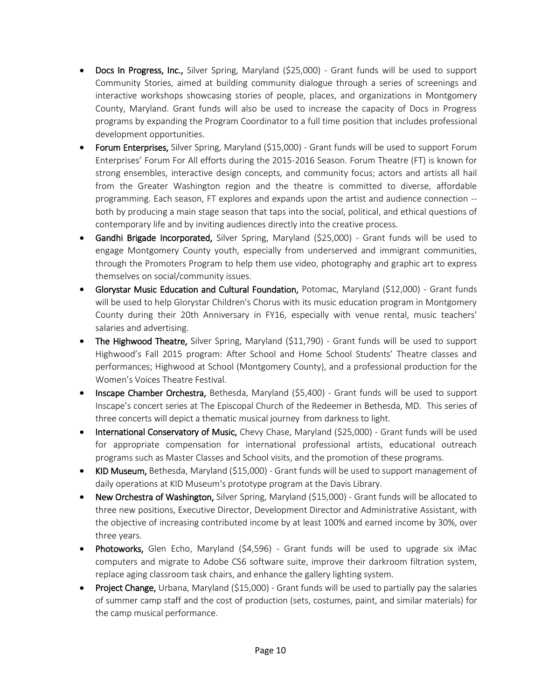- Docs In Progress, Inc., Silver Spring, Maryland (\$25,000) Grant funds will be used to support Community Stories, aimed at building community dialogue through a series of screenings and interactive workshops showcasing stories of people, places, and organizations in Montgomery County, Maryland. Grant funds will also be used to increase the capacity of Docs in Progress programs by expanding the Program Coordinator to a full time position that includes professional development opportunities.
- Forum Enterprises, Silver Spring, Maryland (\$15,000) Grant funds will be used to support Forum Enterprises' Forum For All efforts during the 2015-2016 Season. Forum Theatre (FT) is known for strong ensembles, interactive design concepts, and community focus; actors and artists all hail from the Greater Washington region and the theatre is committed to diverse, affordable programming. Each season, FT explores and expands upon the artist and audience connection - both by producing a main stage season that taps into the social, political, and ethical questions of contemporary life and by inviting audiences directly into the creative process.
- Gandhi Brigade Incorporated, Silver Spring, Maryland (\$25,000) Grant funds will be used to engage Montgomery County youth, especially from underserved and immigrant communities, through the Promoters Program to help them use video, photography and graphic art to express themselves on social/community issues.
- Glorystar Music Education and Cultural Foundation, Potomac, Maryland (\$12,000) Grant funds will be used to help Glorystar Children's Chorus with its music education program in Montgomery County during their 20th Anniversary in FY16, especially with venue rental, music teachers' salaries and advertising.
- The Highwood Theatre, Silver Spring, Maryland (\$11,790) Grant funds will be used to support Highwood's Fall 2015 program: After School and Home School Students' Theatre classes and performances; Highwood at School (Montgomery County), and a professional production for the Women's Voices Theatre Festival.
- Inscape Chamber Orchestra, Bethesda, Maryland (\$5,400) Grant funds will be used to support Inscape's concert series at The Episcopal Church of the Redeemer in Bethesda, MD. This series of three concerts will depict a thematic musical journey from darkness to light.
- International Conservatory of Music, Chevy Chase, Maryland (\$25,000) Grant funds will be used for appropriate compensation for international professional artists, educational outreach programs such as Master Classes and School visits, and the promotion of these programs.
- KID Museum, Bethesda, Maryland (\$15,000) Grant funds will be used to support management of daily operations at KID Museum's prototype program at the Davis Library.
- New Orchestra of Washington, Silver Spring, Maryland (\$15,000) Grant funds will be allocated to three new positions, Executive Director, Development Director and Administrative Assistant, with the objective of increasing contributed income by at least 100% and earned income by 30%, over three years.
- Photoworks, Glen Echo, Maryland (\$4,596) Grant funds will be used to upgrade six iMac computers and migrate to Adobe CS6 software suite, improve their darkroom filtration system, replace aging classroom task chairs, and enhance the gallery lighting system.
- Project Change, Urbana, Maryland (\$15,000) Grant funds will be used to partially pay the salaries of summer camp staff and the cost of production (sets, costumes, paint, and similar materials) for the camp musical performance.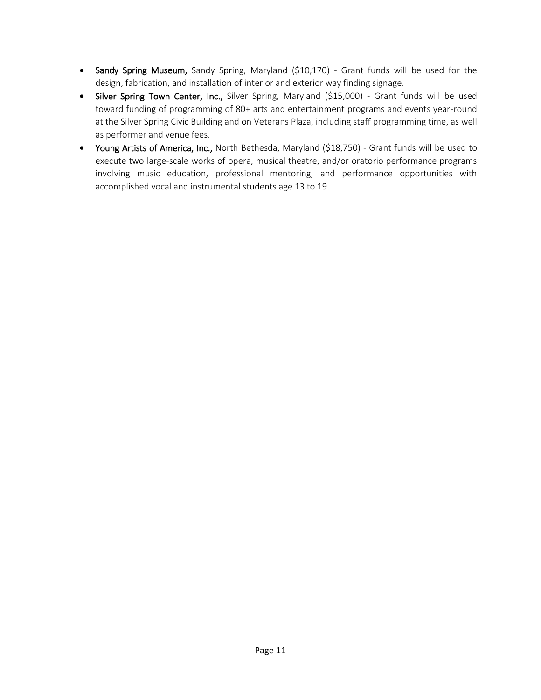- Sandy Spring Museum, Sandy Spring, Maryland (\$10,170) Grant funds will be used for the design, fabrication, and installation of interior and exterior way finding signage.
- Silver Spring Town Center, Inc., Silver Spring, Maryland (\$15,000) Grant funds will be used toward funding of programming of 80+ arts and entertainment programs and events year-round at the Silver Spring Civic Building and on Veterans Plaza, including staff programming time, as well as performer and venue fees.
- Young Artists of America, Inc., North Bethesda, Maryland (\$18,750) Grant funds will be used to execute two large-scale works of opera, musical theatre, and/or oratorio performance programs involving music education, professional mentoring, and performance opportunities with accomplished vocal and instrumental students age 13 to 19.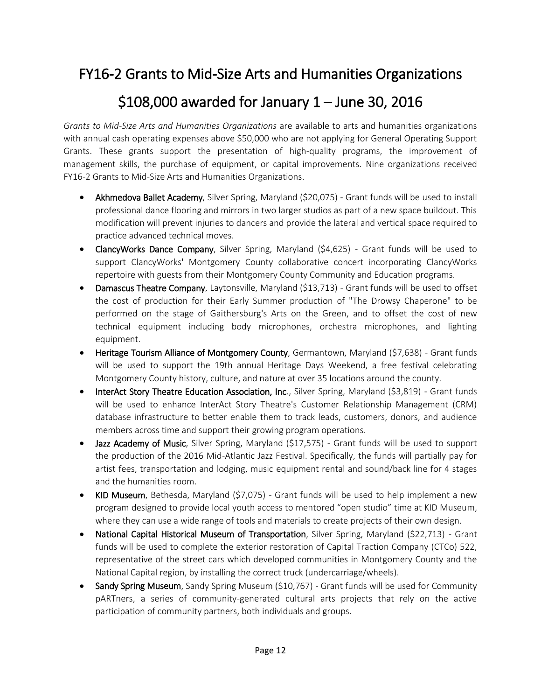#### FY16-2 Grants to Mid-Size Arts and Humanities Organizations

#### \$108,000 awarded for January 1 – June 30, 2016

*Grants to Mid-Size Arts and Humanities Organizations* are available to arts and humanities organizations with annual cash operating expenses above \$50,000 who are not applying for General Operating Support Grants. These grants support the presentation of high-quality programs, the improvement of management skills, the purchase of equipment, or capital improvements. Nine organizations received FY16-2 Grants to Mid-Size Arts and Humanities Organizations.

- Akhmedova Ballet Academy, Silver Spring, Maryland (\$20,075) Grant funds will be used to install professional dance flooring and mirrors in two larger studios as part of a new space buildout. This modification will prevent injuries to dancers and provide the lateral and vertical space required to practice advanced technical moves.
- ClancyWorks Dance Company, Silver Spring, Maryland (\$4,625) Grant funds will be used to support ClancyWorks' Montgomery County collaborative concert incorporating ClancyWorks repertoire with guests from their Montgomery County Community and Education programs.
- Damascus Theatre Company, Laytonsville, Maryland (\$13,713) Grant funds will be used to offset the cost of production for their Early Summer production of "The Drowsy Chaperone" to be performed on the stage of Gaithersburg's Arts on the Green, and to offset the cost of new technical equipment including body microphones, orchestra microphones, and lighting equipment.
- Heritage Tourism Alliance of Montgomery County, Germantown, Maryland (\$7,638) Grant funds will be used to support the 19th annual Heritage Days Weekend, a free festival celebrating Montgomery County history, culture, and nature at over 35 locations around the county.
- InterAct Story Theatre Education Association, Inc., Silver Spring, Maryland (\$3,819) Grant funds will be used to enhance InterAct Story Theatre's Customer Relationship Management (CRM) database infrastructure to better enable them to track leads, customers, donors, and audience members across time and support their growing program operations.
- Jazz Academy of Music, Silver Spring, Maryland (\$17,575) Grant funds will be used to support the production of the 2016 Mid-Atlantic Jazz Festival. Specifically, the funds will partially pay for artist fees, transportation and lodging, music equipment rental and sound/back line for 4 stages and the humanities room.
- KID Museum, Bethesda, Maryland (\$7,075) Grant funds will be used to help implement a new program designed to provide local youth access to mentored "open studio" time at KID Museum, where they can use a wide range of tools and materials to create projects of their own design.
- National Capital Historical Museum of Transportation, Silver Spring, Maryland (\$22,713) Grant funds will be used to complete the exterior restoration of Capital Traction Company (CTCo) 522, representative of the street cars which developed communities in Montgomery County and the National Capital region, by installing the correct truck (undercarriage/wheels).
- Sandy Spring Museum, Sandy Spring Museum (\$10,767) Grant funds will be used for Community pARTners, a series of community-generated cultural arts projects that rely on the active participation of community partners, both individuals and groups.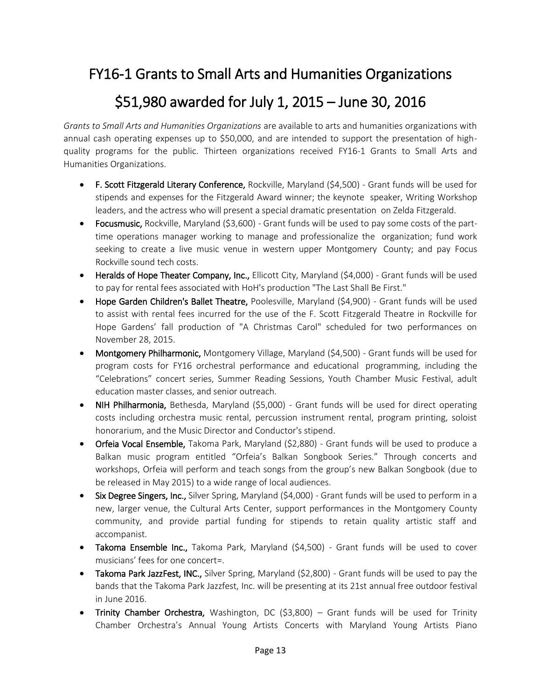#### FY16-1 Grants to Small Arts and Humanities Organizations

#### \$51,980 awarded for July 1, 2015 – June 30, 2016

*Grants to Small Arts and Humanities Organizations* are available to arts and humanities organizations with annual cash operating expenses up to \$50,000, and are intended to support the presentation of highquality programs for the public. Thirteen organizations received FY16-1 Grants to Small Arts and Humanities Organizations.

- F. Scott Fitzgerald Literary Conference, Rockville, Maryland (\$4,500) Grant funds will be used for stipends and expenses for the Fitzgerald Award winner; the keynote speaker, Writing Workshop leaders, and the actress who will present a special dramatic presentation on Zelda Fitzgerald.
- Focusmusic, Rockville, Maryland (\$3,600) Grant funds will be used to pay some costs of the parttime operations manager working to manage and professionalize the organization; fund work seeking to create a live music venue in western upper Montgomery County; and pay Focus Rockville sound tech costs.
- Heralds of Hope Theater Company, Inc., Ellicott City, Maryland (\$4,000) Grant funds will be used to pay for rental fees associated with HoH's production "The Last Shall Be First."
- Hope Garden Children's Ballet Theatre, Poolesville, Maryland (\$4,900) Grant funds will be used to assist with rental fees incurred for the use of the F. Scott Fitzgerald Theatre in Rockville for Hope Gardens' fall production of "A Christmas Carol" scheduled for two performances on November 28, 2015.
- Montgomery Philharmonic, Montgomery Village, Maryland (\$4,500) Grant funds will be used for program costs for FY16 orchestral performance and educational programming, including the "Celebrations" concert series, Summer Reading Sessions, Youth Chamber Music Festival, adult education master classes, and senior outreach.
- NIH Philharmonia, Bethesda, Maryland (\$5,000) Grant funds will be used for direct operating costs including orchestra music rental, percussion instrument rental, program printing, soloist honorarium, and the Music Director and Conductor's stipend.
- Orfeia Vocal Ensemble, Takoma Park, Maryland (\$2,880) Grant funds will be used to produce a Balkan music program entitled "Orfeia's Balkan Songbook Series." Through concerts and workshops, Orfeia will perform and teach songs from the group's new Balkan Songbook (due to be released in May 2015) to a wide range of local audiences.
- Six Degree Singers, Inc., Silver Spring, Maryland (\$4,000) Grant funds will be used to perform in a new, larger venue, the Cultural Arts Center, support performances in the Montgomery County community, and provide partial funding for stipends to retain quality artistic staff and accompanist.
- Takoma Ensemble Inc., Takoma Park, Maryland (\$4,500) Grant funds will be used to cover musicians' fees for one concert=.
- Takoma Park JazzFest, INC., Silver Spring, Maryland (\$2,800) Grant funds will be used to pay the bands that the Takoma Park Jazzfest, Inc. will be presenting at its 21st annual free outdoor festival in June 2016.
- Trinity Chamber Orchestra, Washington, DC (\$3,800) Grant funds will be used for Trinity Chamber Orchestra's Annual Young Artists Concerts with Maryland Young Artists Piano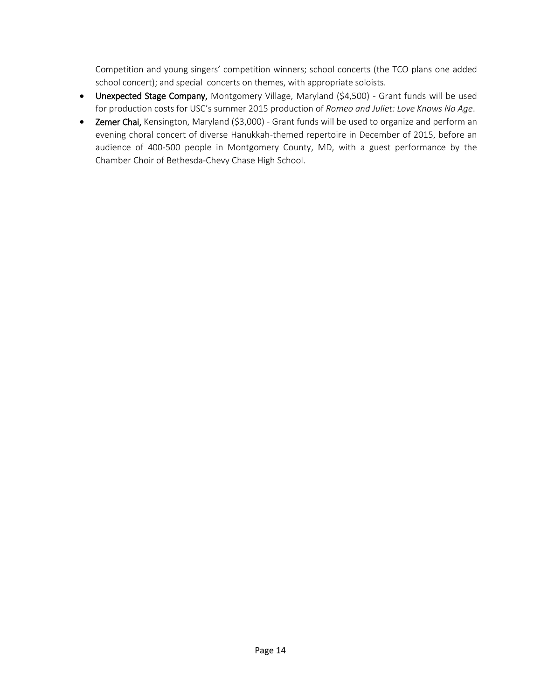Competition and young singers' competition winners; school concerts (the TCO plans one added school concert); and special concerts on themes, with appropriate soloists.

- Unexpected Stage Company, Montgomery Village, Maryland (\$4,500) Grant funds will be used for production costs for USC's summer 2015 production of *Romeo and Juliet: Love Knows No Age*.
- Zemer Chai, Kensington, Maryland (\$3,000) Grant funds will be used to organize and perform an evening choral concert of diverse Hanukkah-themed repertoire in December of 2015, before an audience of 400-500 people in Montgomery County, MD, with a guest performance by the Chamber Choir of Bethesda-Chevy Chase High School.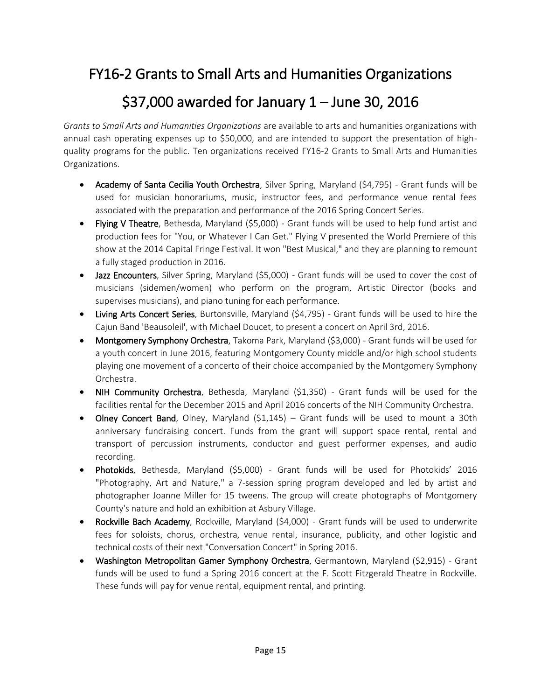#### FY16-2 Grants to Small Arts and Humanities Organizations

#### \$37,000 awarded for January 1 – June 30, 2016

*Grants to Small Arts and Humanities Organizations* are available to arts and humanities organizations with annual cash operating expenses up to \$50,000, and are intended to support the presentation of highquality programs for the public. Ten organizations received FY16-2 Grants to Small Arts and Humanities Organizations.

- Academy of Santa Cecilia Youth Orchestra, Silver Spring, Maryland (\$4,795) Grant funds will be used for musician honorariums, music, instructor fees, and performance venue rental fees associated with the preparation and performance of the 2016 Spring Concert Series.
- Flying V Theatre, Bethesda, Maryland (\$5,000) Grant funds will be used to help fund artist and production fees for "You, or Whatever I Can Get." Flying V presented the World Premiere of this show at the 2014 Capital Fringe Festival. It won "Best Musical," and they are planning to remount a fully staged production in 2016.
- Jazz Encounters, Silver Spring, Maryland (\$5,000) Grant funds will be used to cover the cost of musicians (sidemen/women) who perform on the program, Artistic Director (books and supervises musicians), and piano tuning for each performance.
- Living Arts Concert Series, Burtonsville, Maryland (\$4,795) Grant funds will be used to hire the Cajun Band 'Beausoleil', with Michael Doucet, to present a concert on April 3rd, 2016.
- Montgomery Symphony Orchestra, Takoma Park, Maryland (\$3,000) Grant funds will be used for a youth concert in June 2016, featuring Montgomery County middle and/or high school students playing one movement of a concerto of their choice accompanied by the Montgomery Symphony Orchestra.
- NIH Community Orchestra, Bethesda, Maryland (\$1,350) Grant funds will be used for the facilities rental for the December 2015 and April 2016 concerts of the NIH Community Orchestra.
- Olney Concert Band, Olney, Maryland (\$1,145) Grant funds will be used to mount a 30th anniversary fundraising concert. Funds from the grant will support space rental, rental and transport of percussion instruments, conductor and guest performer expenses, and audio recording.
- Photokids, Bethesda, Maryland (\$5,000) Grant funds will be used for Photokids' 2016 "Photography, Art and Nature," a 7-session spring program developed and led by artist and photographer Joanne Miller for 15 tweens. The group will create photographs of Montgomery County's nature and hold an exhibition at Asbury Village.
- Rockville Bach Academy, Rockville, Maryland (\$4,000) Grant funds will be used to underwrite fees for soloists, chorus, orchestra, venue rental, insurance, publicity, and other logistic and technical costs of their next "Conversation Concert" in Spring 2016.
- Washington Metropolitan Gamer Symphony Orchestra, Germantown, Maryland (\$2,915) Grant funds will be used to fund a Spring 2016 concert at the F. Scott Fitzgerald Theatre in Rockville. These funds will pay for venue rental, equipment rental, and printing.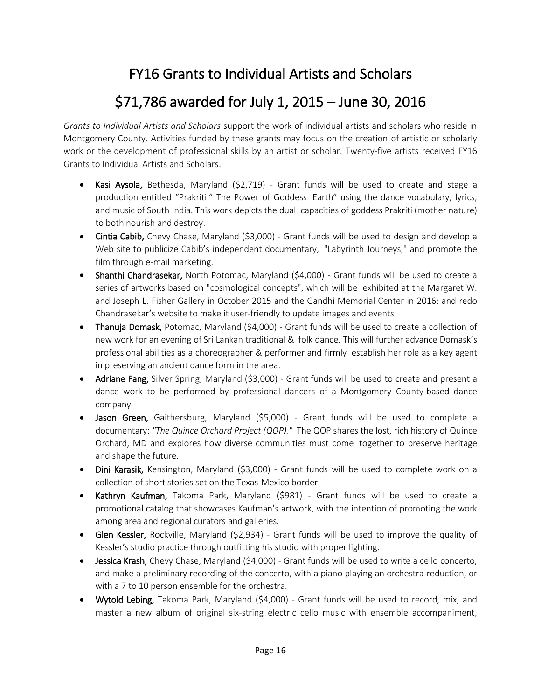## FY16 Grants to Individual Artists and Scholars

## \$71,786 awarded for July 1, 2015 – June 30, 2016

*Grants to Individual Artists and Scholars* support the work of individual artists and scholars who reside in Montgomery County. Activities funded by these grants may focus on the creation of artistic or scholarly work or the development of professional skills by an artist or scholar. Twenty-five artists received FY16 Grants to Individual Artists and Scholars.

- Kasi Aysola, Bethesda, Maryland  $(52,719)$  Grant funds will be used to create and stage a production entitled "Prakriti." The Power of Goddess Earth" using the dance vocabulary, lyrics, and music of South India. This work depicts the dual capacities of goddess Prakriti (mother nature) to both nourish and destroy.
- Cintia Cabib, Chevy Chase, Maryland (\$3,000) Grant funds will be used to design and develop a Web site to publicize Cabib's independent documentary, "Labyrinth Journeys," and promote the film through e-mail marketing.
- Shanthi Chandrasekar, North Potomac, Maryland (\$4,000) Grant funds will be used to create a series of artworks based on "cosmological concepts", which will be exhibited at the Margaret W. and Joseph L. Fisher Gallery in October 2015 and the Gandhi Memorial Center in 2016; and redo Chandrasekar's website to make it user-friendly to update images and events.
- Thanuja Domask, Potomac, Maryland (\$4,000) Grant funds will be used to create a collection of new work for an evening of Sri Lankan traditional & folk dance. This will further advance Domask's professional abilities as a choreographer & performer and firmly establish her role as a key agent in preserving an ancient dance form in the area.
- Adriane Fang, Silver Spring, Maryland (\$3,000) Grant funds will be used to create and present a dance work to be performed by professional dancers of a Montgomery County-based dance company.
- Jason Green, Gaithersburg, Maryland (\$5,000) Grant funds will be used to complete a documentary: *"The Quince Orchard Project (QOP)."* The QOP shares the lost, rich history of Quince Orchard, MD and explores how diverse communities must come together to preserve heritage and shape the future.
- Dini Karasik, Kensington, Maryland (\$3,000) Grant funds will be used to complete work on a collection of short stories set on the Texas-Mexico border.
- Kathryn Kaufman, Takoma Park, Maryland (\$981) Grant funds will be used to create a promotional catalog that showcases Kaufman's artwork, with the intention of promoting the work among area and regional curators and galleries.
- Glen Kessler, Rockville, Maryland (\$2,934) Grant funds will be used to improve the quality of Kessler's studio practice through outfitting his studio with proper lighting.
- Jessica Krash, Chevy Chase, Maryland (\$4,000) Grant funds will be used to write a cello concerto, and make a preliminary recording of the concerto, with a piano playing an orchestra-reduction, or with a 7 to 10 person ensemble for the orchestra.
- Wytold Lebing, Takoma Park, Maryland (\$4,000) Grant funds will be used to record, mix, and master a new album of original six-string electric cello music with ensemble accompaniment,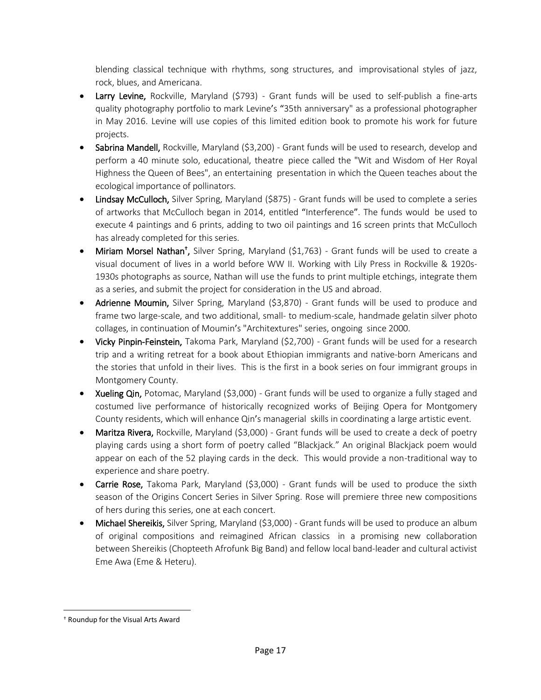blending classical technique with rhythms, song structures, and improvisational styles of jazz, rock, blues, and Americana.

- Larry Levine, Rockville, Maryland (\$793) Grant funds will be used to self-publish a fine-arts quality photography portfolio to mark Levine's "35th anniversary" as a professional photographer in May 2016. Levine will use copies of this limited edition book to promote his work for future projects.
- Sabrina Mandell, Rockville, Maryland (\$3,200) Grant funds will be used to research, develop and perform a 40 minute solo, educational, theatre piece called the "Wit and Wisdom of Her Royal Highness the Queen of Bees", an entertaining presentation in which the Queen teaches about the ecological importance of pollinators.
- Lindsay McCulloch, Silver Spring, Maryland (\$875) Grant funds will be used to complete a series of artworks that McCulloch began in 2014, entitled "Interference". The funds would be used to execute 4 paintings and 6 prints, adding to two oil paintings and 16 screen prints that McCulloch has already completed for this series.
- Miriam Morsel Nathan<sup>t</sup>, Silver Spring, Maryland (\$1,763) Grant funds will be used to create a visual document of lives in a world before WW II. Working with Lily Press in Rockville & 1920s-1930s photographs as source, Nathan will use the funds to print multiple etchings, integrate them as a series, and submit the project for consideration in the US and abroad.
- Adrienne Moumin, Silver Spring, Maryland (\$3,870) Grant funds will be used to produce and frame two large-scale, and two additional, small- to medium-scale, handmade gelatin silver photo collages, in continuation of Moumin's "Architextures" series, ongoing since 2000.
- Vicky Pinpin-Feinstein, Takoma Park, Maryland (\$2,700) Grant funds will be used for a research trip and a writing retreat for a book about Ethiopian immigrants and native-born Americans and the stories that unfold in their lives. This is the first in a book series on four immigrant groups in Montgomery County.
- Xueling Qin, Potomac, Maryland (\$3,000) Grant funds will be used to organize a fully staged and costumed live performance of historically recognized works of Beijing Opera for Montgomery County residents, which will enhance Qin's managerial skills in coordinating a large artistic event.
- Maritza Rivera, Rockville, Maryland (\$3,000) Grant funds will be used to create a deck of poetry playing cards using a short form of poetry called "Blackjack." An original Blackjack poem would appear on each of the 52 playing cards in the deck. This would provide a non-traditional way to experience and share poetry.
- Carrie Rose, Takoma Park, Maryland (\$3,000) Grant funds will be used to produce the sixth season of the Origins Concert Series in Silver Spring. Rose will premiere three new compositions of hers during this series, one at each concert.
- Michael Shereikis, Silver Spring, Maryland (\$3,000) Grant funds will be used to produce an album of original compositions and reimagined African classics in a promising new collaboration between Shereikis (Chopteeth Afrofunk Big Band) and fellow local band-leader and cultural activist Eme Awa (Eme & Heteru).

l

<sup>†</sup> Roundup for the Visual Arts Award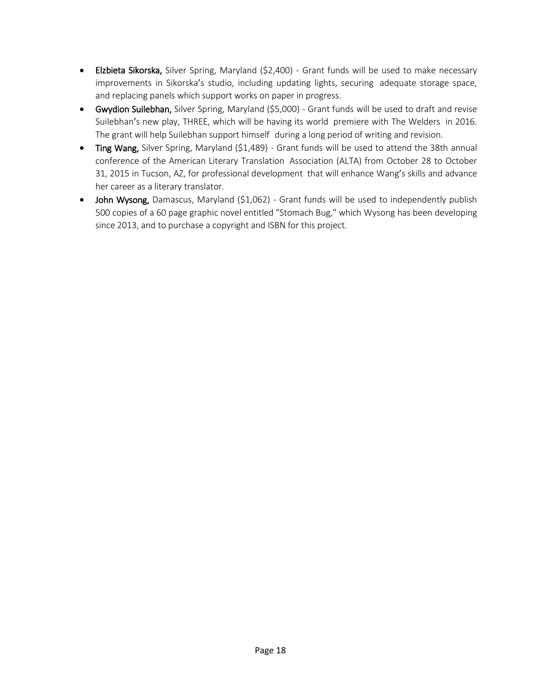- Elzbieta Sikorska, Silver Spring, Maryland (\$2,400) Grant funds will be used to make necessary improvements in Sikorska's studio, including updating lights, securing adequate storage space, and replacing panels which support works on paper in progress.
- Gwydion Suilebhan, Silver Spring, Maryland (\$5,000) Grant funds will be used to draft and revise Suilebhan's new play, THREE, which will be having its world premiere with The Welders in 2016. The grant will help Suilebhan support himself during a long period of writing and revision.
- Ting Wang, Silver Spring, Maryland (\$1,489) Grant funds will be used to attend the 38th annual conference of the American Literary Translation Association (ALTA) from October 28 to October 31, 2015 in Tucson, AZ, for professional development that will enhance Wang's skills and advance her career as a literary translator.
- John Wysong, Damascus, Maryland (\$1,062) Grant funds will be used to independently publish 500 copies of a 60 page graphic novel entitled "Stomach Bug," which Wysong has been developing since 2013, and to purchase a copyright and ISBN for this project.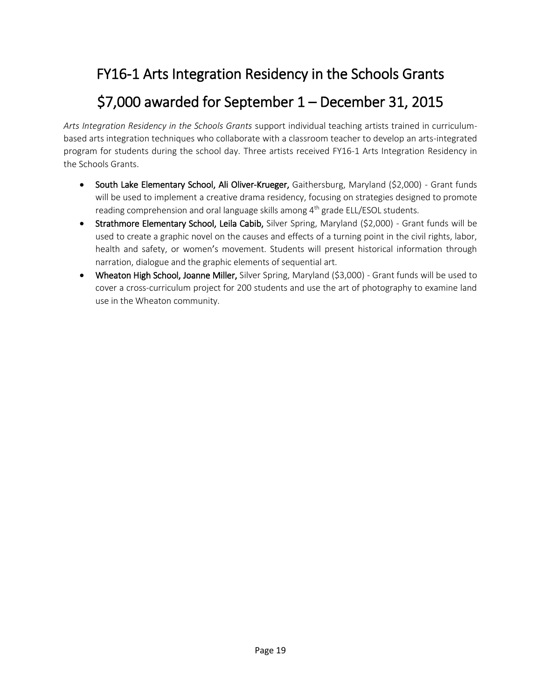## FY16-1 Arts Integration Residency in the Schools Grants

## \$7,000 awarded for September 1 – December 31, 2015

*Arts Integration Residency in the Schools Grants* support individual teaching artists trained in curriculumbased arts integration techniques who collaborate with a classroom teacher to develop an arts-integrated program for students during the school day. Three artists received FY16-1 Arts Integration Residency in the Schools Grants.

- South Lake Elementary School, Ali Oliver-Krueger, Gaithersburg, Maryland (\$2,000) Grant funds will be used to implement a creative drama residency, focusing on strategies designed to promote reading comprehension and oral language skills among 4<sup>th</sup> grade ELL/ESOL students.
- Strathmore Elementary School, Leila Cabib, Silver Spring, Maryland (\$2,000) Grant funds will be used to create a graphic novel on the causes and effects of a turning point in the civil rights, labor, health and safety, or women's movement. Students will present historical information through narration, dialogue and the graphic elements of sequential art.
- Wheaton High School, Joanne Miller, Silver Spring, Maryland (\$3,000) Grant funds will be used to cover a cross-curriculum project for 200 students and use the art of photography to examine land use in the Wheaton community.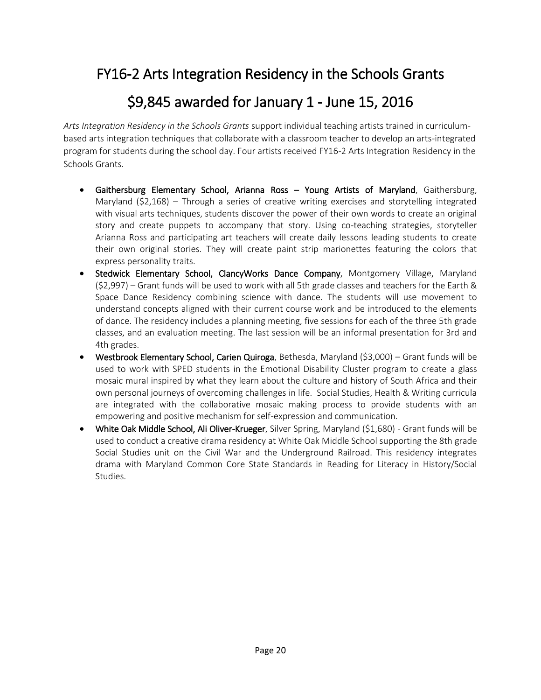#### FY16-2 Arts Integration Residency in the Schools Grants

#### \$9,845 awarded for January 1 - June 15, 2016

*Arts Integration Residency in the Schools Grants* support individual teaching artists trained in curriculumbased arts integration techniques that collaborate with a classroom teacher to develop an arts-integrated program for students during the school day. Four artists received FY16-2 Arts Integration Residency in the Schools Grants.

- Gaithersburg Elementary School, Arianna Ross Young Artists of Maryland, Gaithersburg, Maryland (\$2,168) – Through a series of creative writing exercises and storytelling integrated with visual arts techniques, students discover the power of their own words to create an original story and create puppets to accompany that story. Using co-teaching strategies, storyteller Arianna Ross and participating art teachers will create daily lessons leading students to create their own original stories. They will create paint strip marionettes featuring the colors that express personality traits.
- Stedwick Elementary School, ClancyWorks Dance Company, Montgomery Village, Maryland (\$2,997) – Grant funds will be used to work with all 5th grade classes and teachers for the Earth & Space Dance Residency combining science with dance. The students will use movement to understand concepts aligned with their current course work and be introduced to the elements of dance. The residency includes a planning meeting, five sessions for each of the three 5th grade classes, and an evaluation meeting. The last session will be an informal presentation for 3rd and 4th grades.
- Westbrook Elementary School, Carien Quiroga, Bethesda, Maryland (\$3,000) Grant funds will be used to work with SPED students in the Emotional Disability Cluster program to create a glass mosaic mural inspired by what they learn about the culture and history of South Africa and their own personal journeys of overcoming challenges in life. Social Studies, Health & Writing curricula are integrated with the collaborative mosaic making process to provide students with an empowering and positive mechanism for self-expression and communication.
- White Oak Middle School, Ali Oliver-Krueger, Silver Spring, Maryland (\$1,680) Grant funds will be used to conduct a creative drama residency at White Oak Middle School supporting the 8th grade Social Studies unit on the Civil War and the Underground Railroad. This residency integrates drama with Maryland Common Core State Standards in Reading for Literacy in History/Social Studies.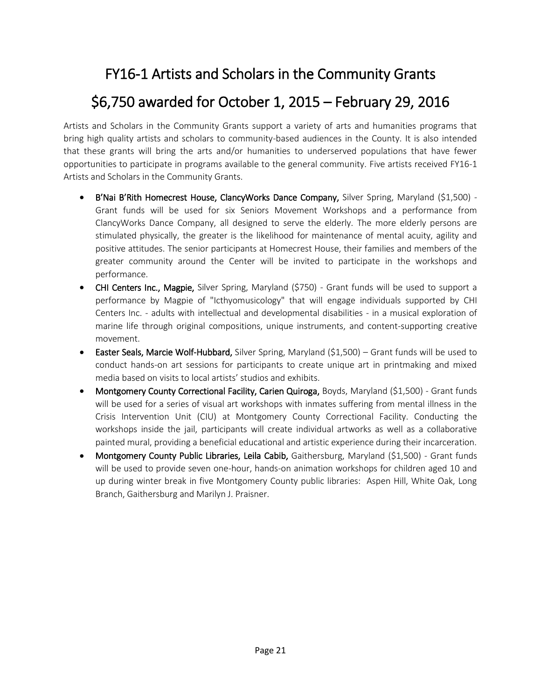## FY16-1 Artists and Scholars in the Community Grants

## \$6,750 awarded for October 1, 2015 – February 29, 2016

Artists and Scholars in the Community Grants support a variety of arts and humanities programs that bring high quality artists and scholars to community-based audiences in the County. It is also intended that these grants will bring the arts and/or humanities to underserved populations that have fewer opportunities to participate in programs available to the general community. Five artists received FY16-1 Artists and Scholars in the Community Grants.

- B'Nai B'Rith Homecrest House, ClancyWorks Dance Company, Silver Spring, Maryland (\$1,500) -Grant funds will be used for six Seniors Movement Workshops and a performance from ClancyWorks Dance Company, all designed to serve the elderly. The more elderly persons are stimulated physically, the greater is the likelihood for maintenance of mental acuity, agility and positive attitudes. The senior participants at Homecrest House, their families and members of the greater community around the Center will be invited to participate in the workshops and performance.
- CHI Centers Inc., Magpie, Silver Spring, Maryland (\$750) Grant funds will be used to support a performance by Magpie of "Icthyomusicology" that will engage individuals supported by CHI Centers Inc. - adults with intellectual and developmental disabilities - in a musical exploration of marine life through original compositions, unique instruments, and content-supporting creative movement.
- Easter Seals, Marcie Wolf-Hubbard, Silver Spring, Maryland (\$1,500) Grant funds will be used to conduct hands-on art sessions for participants to create unique art in printmaking and mixed media based on visits to local artists' studios and exhibits.
- Montgomery County Correctional Facility, Carien Quiroga, Boyds, Maryland (\$1,500) Grant funds will be used for a series of visual art workshops with inmates suffering from mental illness in the Crisis Intervention Unit (CIU) at Montgomery County Correctional Facility. Conducting the workshops inside the jail, participants will create individual artworks as well as a collaborative painted mural, providing a beneficial educational and artistic experience during their incarceration.
- Montgomery County Public Libraries, Leila Cabib, Gaithersburg, Maryland (\$1,500) Grant funds will be used to provide seven one-hour, hands-on animation workshops for children aged 10 and up during winter break in five Montgomery County public libraries: Aspen Hill, White Oak, Long Branch, Gaithersburg and Marilyn J. Praisner.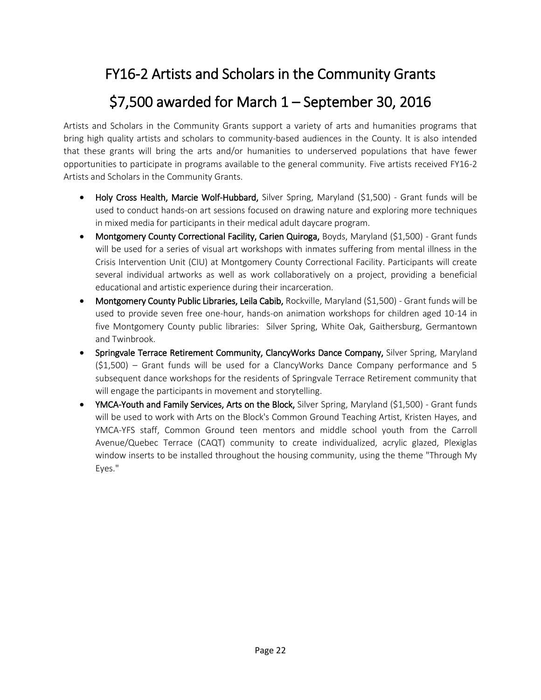## FY16-2 Artists and Scholars in the Community Grants

## \$7,500 awarded for March 1 – September 30, 2016

Artists and Scholars in the Community Grants support a variety of arts and humanities programs that bring high quality artists and scholars to community-based audiences in the County. It is also intended that these grants will bring the arts and/or humanities to underserved populations that have fewer opportunities to participate in programs available to the general community. Five artists received FY16-2 Artists and Scholars in the Community Grants.

- Holy Cross Health, Marcie Wolf-Hubbard, Silver Spring, Maryland (\$1,500) Grant funds will be used to conduct hands-on art sessions focused on drawing nature and exploring more techniques in mixed media for participants in their medical adult daycare program.
- Montgomery County Correctional Facility, Carien Quiroga, Boyds, Maryland (\$1,500) Grant funds will be used for a series of visual art workshops with inmates suffering from mental illness in the Crisis Intervention Unit (CIU) at Montgomery County Correctional Facility. Participants will create several individual artworks as well as work collaboratively on a project, providing a beneficial educational and artistic experience during their incarceration.
- Montgomery County Public Libraries, Leila Cabib, Rockville, Maryland (\$1,500) Grant funds will be used to provide seven free one-hour, hands-on animation workshops for children aged 10-14 in five Montgomery County public libraries: Silver Spring, White Oak, Gaithersburg, Germantown and Twinbrook.
- Springvale Terrace Retirement Community, ClancyWorks Dance Company, Silver Spring, Maryland  $(51,500)$  – Grant funds will be used for a ClancyWorks Dance Company performance and 5 subsequent dance workshops for the residents of Springvale Terrace Retirement community that will engage the participants in movement and storytelling.
- YMCA-Youth and Family Services, Arts on the Block, Silver Spring, Maryland (\$1,500) Grant funds will be used to work with Arts on the Block's Common Ground Teaching Artist, Kristen Hayes, and YMCA-YFS staff, Common Ground teen mentors and middle school youth from the Carroll Avenue/Quebec Terrace (CAQT) community to create individualized, acrylic glazed, Plexiglas window inserts to be installed throughout the housing community, using the theme "Through My Eyes."